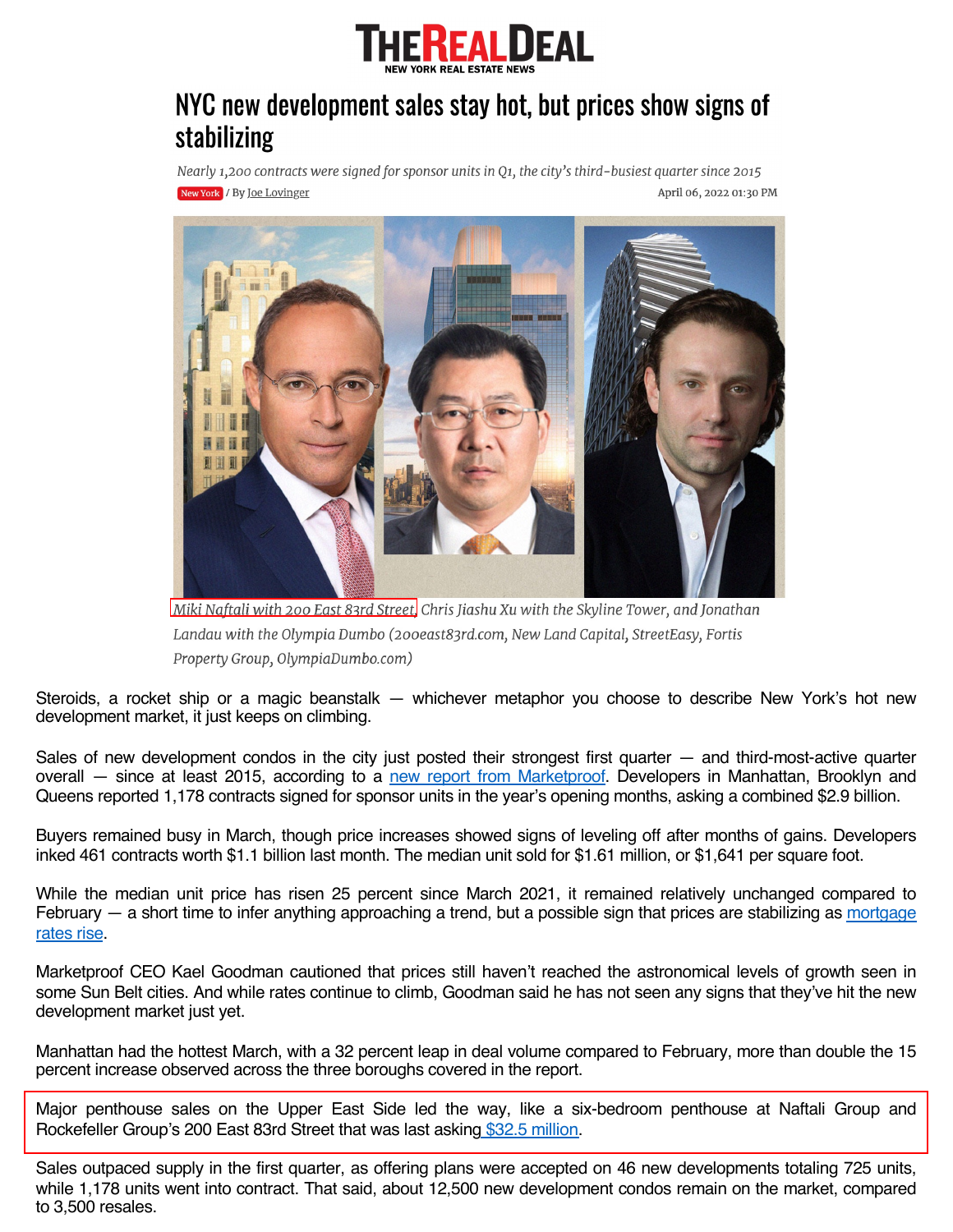

## NYC new development sales stay hot, but prices show signs of stabilizing

Nearly 1,200 contracts were signed for sponsor units in Q1, the city's third-busiest quarter since 2015 New York / By Joe Lovinger April 06, 2022 01:30 PM



Miki Naftali with 200 East 83rd Street. Chris Jiashu Xu with the Skyline Tower, and Jonathan Landau with the Olympia Dumbo (200east83rd.com, New Land Capital, StreetEasy, Fortis Property Group, OlympiaDumbo.com)

Steroids, a rocket ship or a magic beanstalk — whichever metaphor you choose to describe New York's hot new development market, it just keeps on climbing.

Sales of new development condos in the city just posted their strongest first quarter — and third-most-active quarter overall — since at least 2015, according to a new report from [Marketproof.](https://marketproof.com/reports/nyc-new-development-market-report-march-2022) Developers in Manhattan, Brooklyn and Queens reported 1,178 contracts signed for sponsor units in the year's opening months, asking a combined \$2.9 billion.

Buyers remained busy in March, though price increases showed signs of leveling off after months of gains. Developers inked 461 contracts worth \$1.1 billion last month. The median unit sold for \$1.61 million, or \$1,641 per square foot.

While the median unit price has risen 25 percent since March 2021, it remained relatively unchanged compared to February  $-$  a short time to infer anything [approaching](https://therealdeal.com/2022/04/05/what-brokers-are-seeing-as-mortgage-rates-climb/) a trend, but a possible sign that prices are stabilizing as mortgage rates rise.

Marketproof CEO Kael Goodman cautioned that prices still haven't reached the astronomical levels of growth seen in some Sun Belt cities. And while rates continue to climb, Goodman said he has not seen any signs that they've hit the new development market just yet.

Manhattan had the hottest March, with a 32 percent leap in deal volume compared to February, more than double the 15 percent increase observed across the three boroughs covered in the report.

Major penthouse sales on the Upper East Side led the way, like a six-bedroom penthouse at Naftali Group and Rockefeller Group's 200 East 83rd Street that was last asking \$32.5 [million.](https://therealdeal.com/2022/03/07/terrace-takeover-ues-condo-tops-manhattan-luxury-contracts/)

Sales outpaced supply in the first quarter, as offering plans were accepted on 46 new developments totaling 725 units, while 1,178 units went into contract. That said, about 12,500 new development condos remain on the market, compared to 3,500 resales.